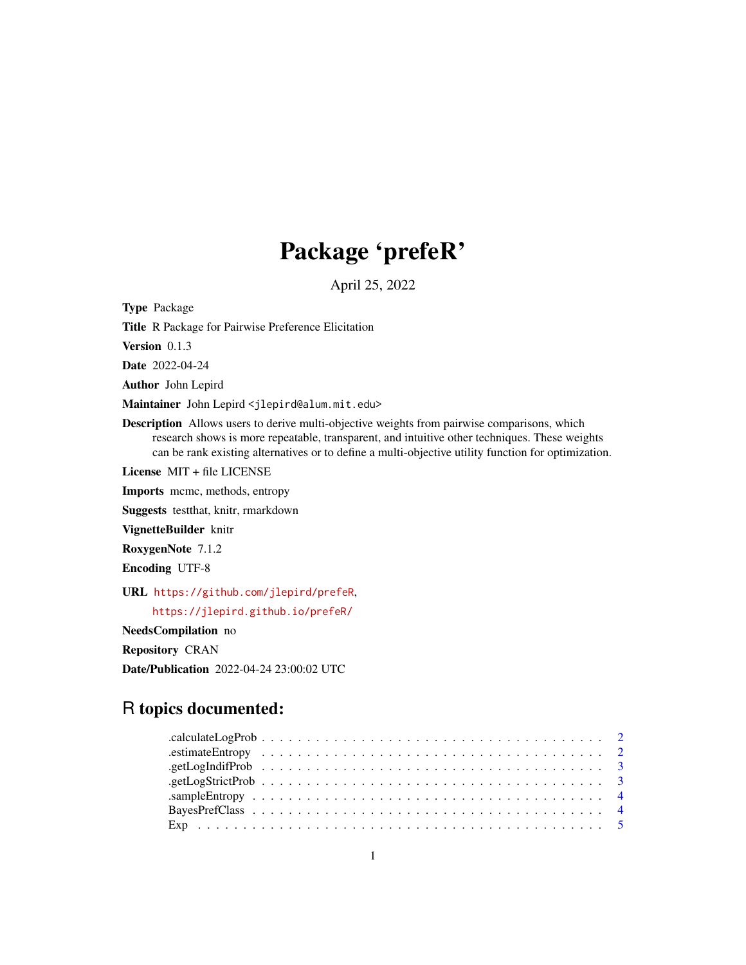## Package 'prefeR'

April 25, 2022

Type Package Title R Package for Pairwise Preference Elicitation Version 0.1.3 Date 2022-04-24 Author John Lepird Maintainer John Lepird <jlepird@alum.mit.edu> Description Allows users to derive multi-objective weights from pairwise comparisons, which research shows is more repeatable, transparent, and intuitive other techniques. These weights can be rank existing alternatives or to define a multi-objective utility function for optimization. License MIT + file LICENSE Imports mcmc, methods, entropy Suggests testthat, knitr, rmarkdown VignetteBuilder knitr RoxygenNote 7.1.2 Encoding UTF-8 URL <https://github.com/jlepird/prefeR>, <https://jlepird.github.io/prefeR/> NeedsCompilation no Repository CRAN

## R topics documented:

Date/Publication 2022-04-24 23:00:02 UTC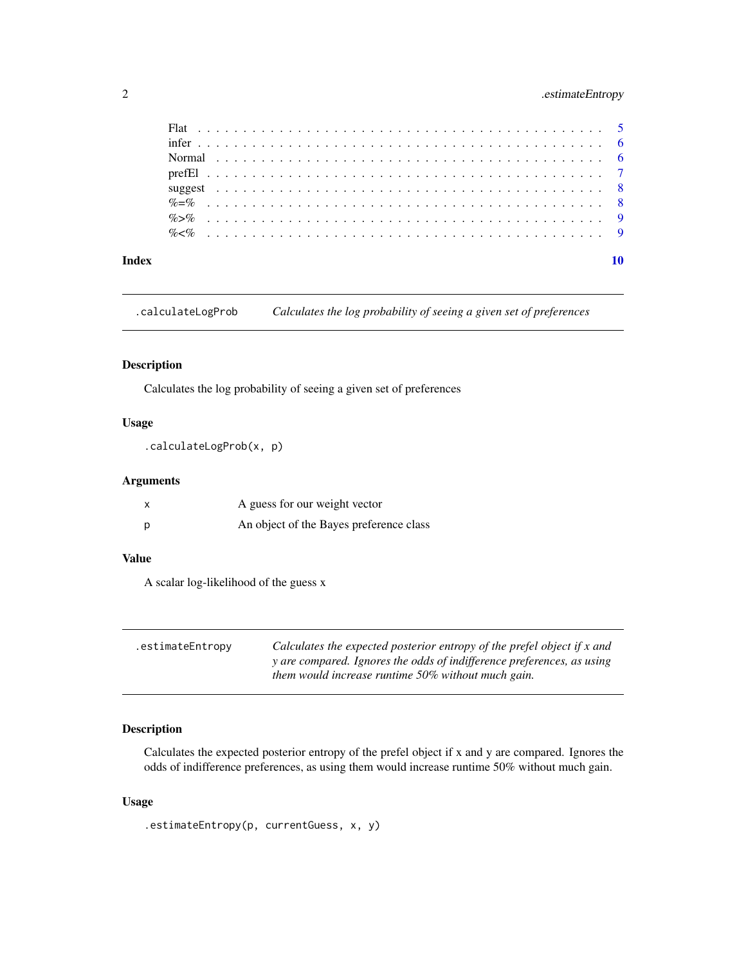## <span id="page-1-0"></span>2 .estimateEntropy

#### $\blacksquare$

.calculateLogProb *Calculates the log probability of seeing a given set of preferences*

### Description

Calculates the log probability of seeing a given set of preferences

## Usage

```
.calculateLogProb(x, p)
```
## Arguments

|   | A guess for our weight vector           |
|---|-----------------------------------------|
| Ŋ | An object of the Bayes preference class |

## Value

A scalar log-likelihood of the guess x

| .estimateEntropy | Calculates the expected posterior entropy of the prefel object if x and |
|------------------|-------------------------------------------------------------------------|
|                  | y are compared. Ignores the odds of indifference preferences, as using  |
|                  | them would increase runtime 50% without much gain.                      |

### Description

Calculates the expected posterior entropy of the prefel object if x and y are compared. Ignores the odds of indifference preferences, as using them would increase runtime 50% without much gain.

#### Usage

.estimateEntropy(p, currentGuess, x, y)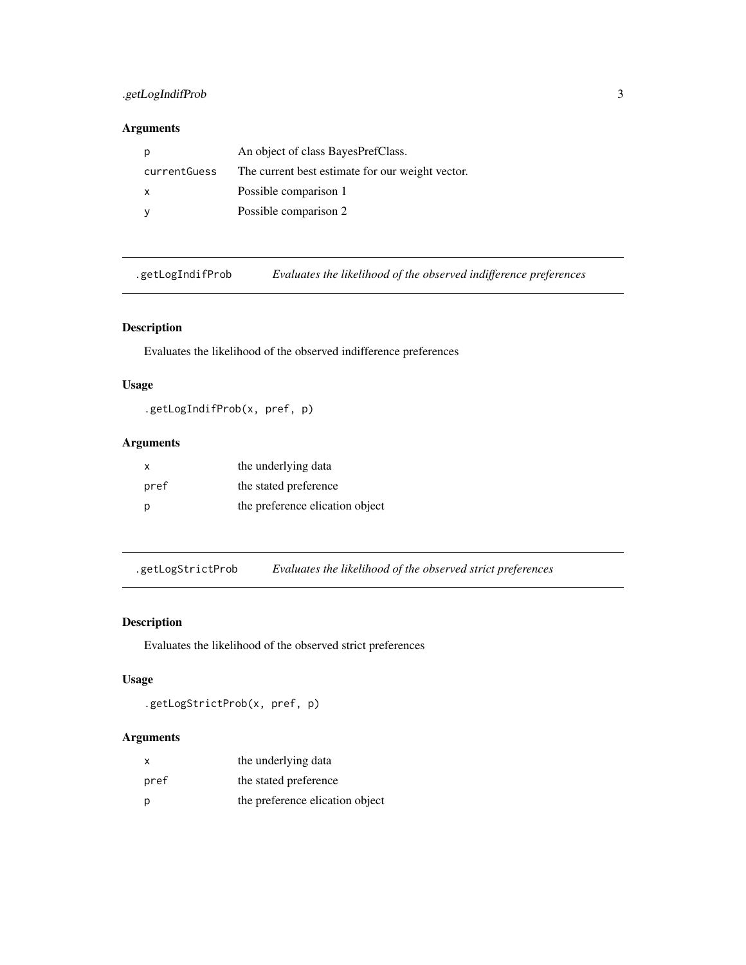## <span id="page-2-0"></span>.getLogIndifProb 3

## Arguments

| p            | An object of class BayesPrefClass.               |
|--------------|--------------------------------------------------|
| currentGuess | The current best estimate for our weight vector. |
| $\mathsf{X}$ | Possible comparison 1                            |
|              | Possible comparison 2                            |

.getLogIndifProb *Evaluates the likelihood of the observed indifference preferences*

## Description

Evaluates the likelihood of the observed indifference preferences

### Usage

.getLogIndifProb(x, pref, p)

## Arguments

| x    | the underlying data             |
|------|---------------------------------|
| pref | the stated preference           |
| p    | the preference elication object |

.getLogStrictProb *Evaluates the likelihood of the observed strict preferences*

### Description

Evaluates the likelihood of the observed strict preferences

#### Usage

```
.getLogStrictProb(x, pref, p)
```
## Arguments

| X    | the underlying data             |
|------|---------------------------------|
| pref | the stated preference           |
| p    | the preference elication object |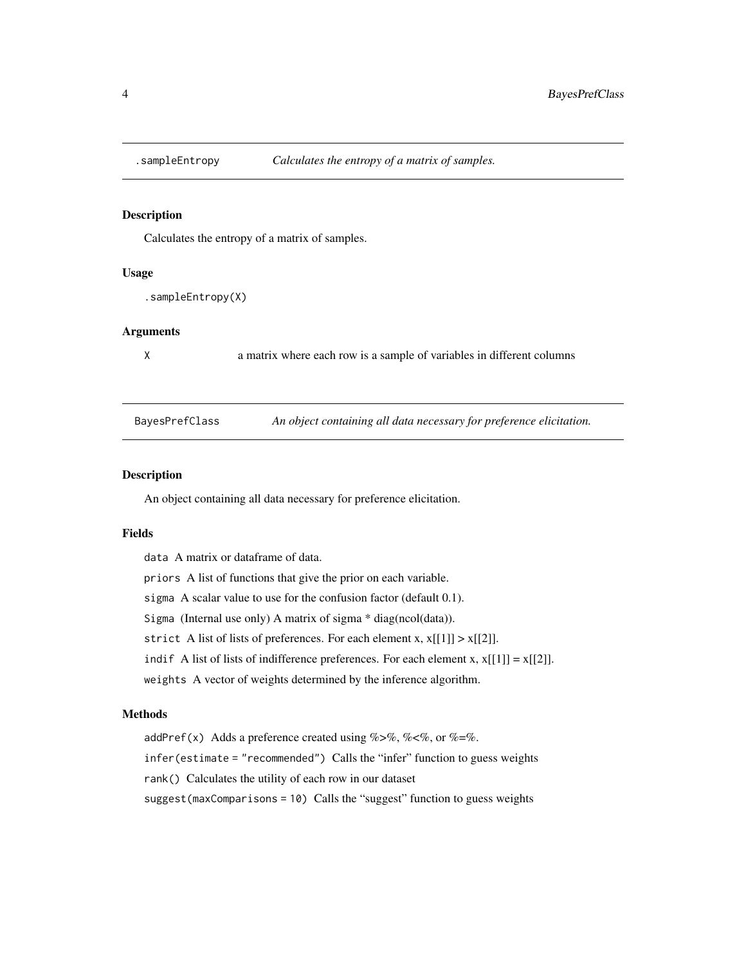<span id="page-3-0"></span>

Calculates the entropy of a matrix of samples.

#### Usage

```
.sampleEntropy(X)
```
#### Arguments

X a matrix where each row is a sample of variables in different columns

BayesPrefClass *An object containing all data necessary for preference elicitation.*

#### Description

An object containing all data necessary for preference elicitation.

#### Fields

data A matrix or dataframe of data. priors A list of functions that give the prior on each variable. sigma A scalar value to use for the confusion factor (default 0.1). Sigma (Internal use only) A matrix of sigma \* diag(ncol(data)). strict A list of lists of preferences. For each element x,  $x[[1]] > x[[2]]$ . indif A list of lists of indifference preferences. For each element x,  $x[[1]] = x[[2]]$ . weights A vector of weights determined by the inference algorithm.

#### Methods

addPref(x) Adds a preference created using %>%, %<%, or %=%. infer(estimate = "recommended") Calls the "infer" function to guess weights rank() Calculates the utility of each row in our dataset suggest(maxComparisons = 10) Calls the "suggest" function to guess weights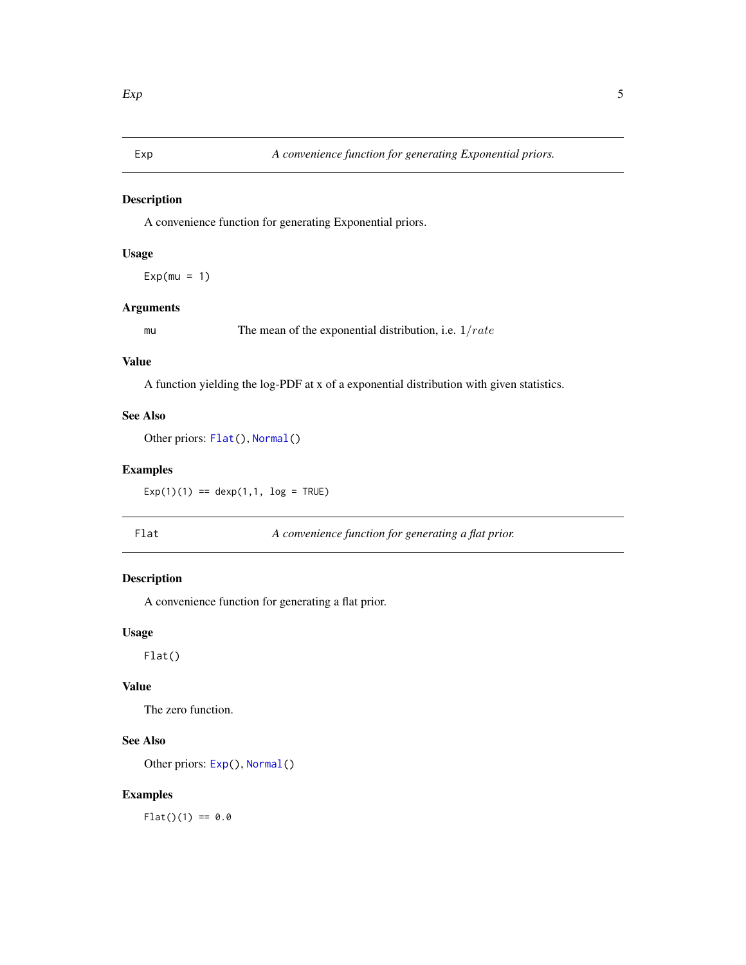<span id="page-4-2"></span><span id="page-4-0"></span>

A convenience function for generating Exponential priors.

## Usage

 $Exp(mu = 1)$ 

#### Arguments

mu The mean of the exponential distribution, i.e.  $1/rate$ 

#### Value

A function yielding the log-PDF at x of a exponential distribution with given statistics.

### See Also

Other priors: [Flat\(](#page-4-1)), [Normal\(](#page-5-1))

## Examples

 $Exp(1)(1) == deg(1, 1, log = TRUE)$ 

<span id="page-4-1"></span>Flat *A convenience function for generating a flat prior.*

#### Description

A convenience function for generating a flat prior.

#### Usage

Flat()

#### Value

The zero function.

## See Also

Other priors: [Exp\(](#page-4-2)), [Normal\(](#page-5-1))

## Examples

 $Flat()$ (1) == 0.0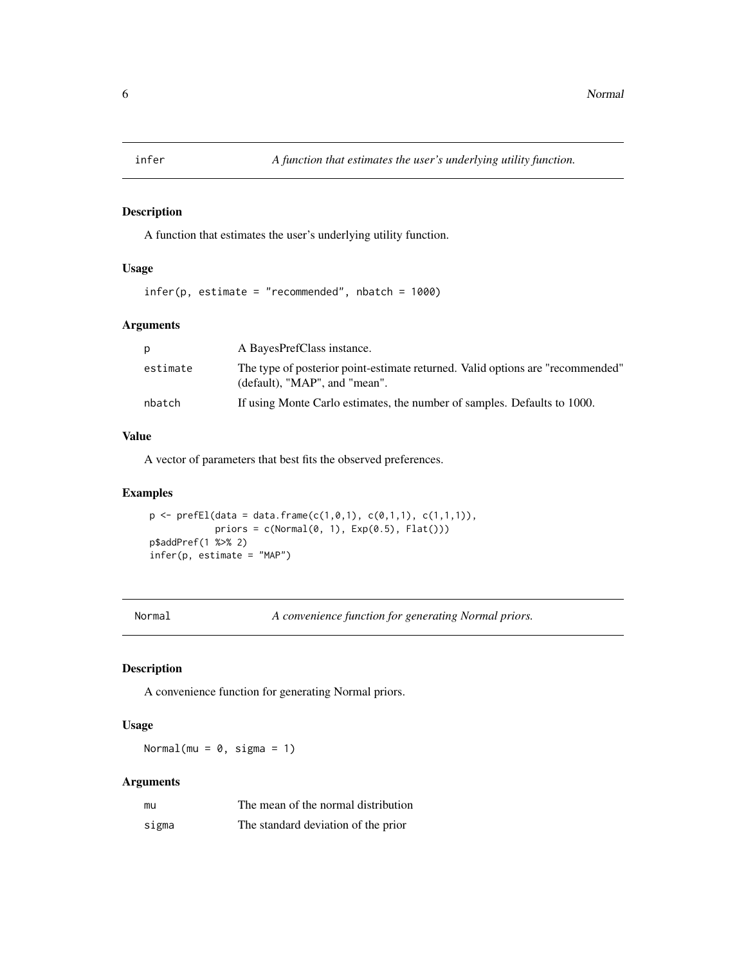<span id="page-5-0"></span>

A function that estimates the user's underlying utility function.

## Usage

```
infer(p, estimate = "recommended", nbatch = 1000)
```
#### Arguments

| <sub>D</sub> | A BayesPrefClass instance.                                                                                      |
|--------------|-----------------------------------------------------------------------------------------------------------------|
| estimate     | The type of posterior point-estimate returned. Valid options are "recommended"<br>(default), "MAP", and "mean". |
| nbatch       | If using Monte Carlo estimates, the number of samples. Defaults to 1000.                                        |

## Value

A vector of parameters that best fits the observed preferences.

#### Examples

 $p \leftarrow prefEl(data = data-frame(c(1, 0, 1), c(0, 1, 1), c(1, 1, 1)),$ priors =  $c(Normal(0, 1), Exp(0.5), Flat())$ p\$addPref(1 %>% 2) infer(p, estimate = "MAP")

<span id="page-5-1"></span>Normal *A convenience function for generating Normal priors.*

#### Description

A convenience function for generating Normal priors.

#### Usage

Normal(mu =  $0$ , sigma = 1)

#### Arguments

| mu    | The mean of the normal distribution |
|-------|-------------------------------------|
| sigma | The standard deviation of the prior |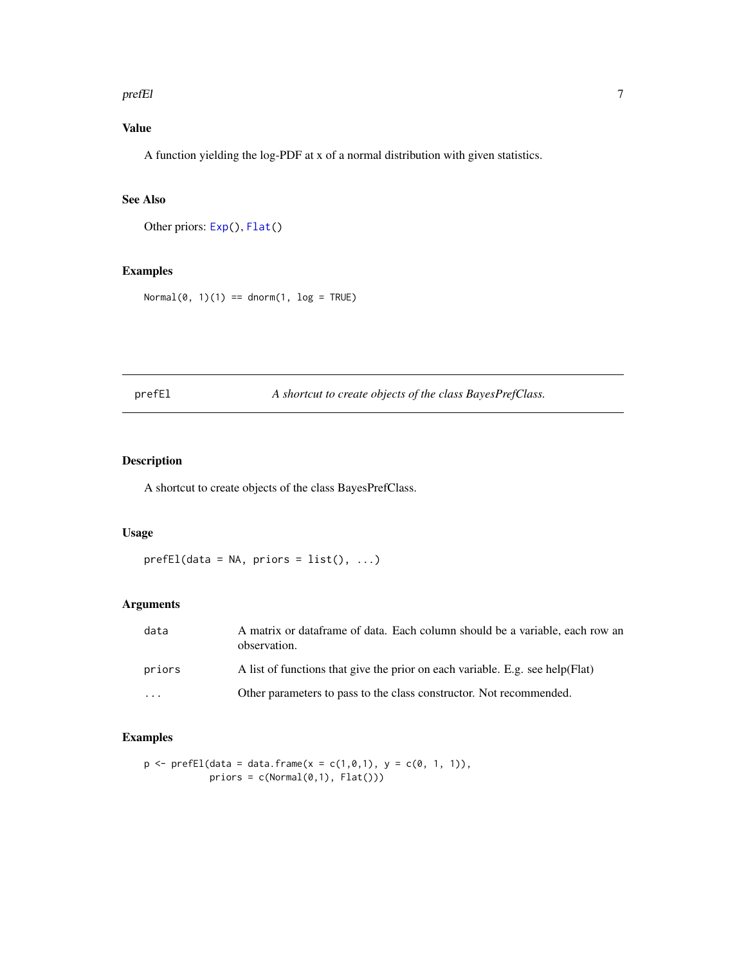#### <span id="page-6-0"></span>prefEl and the contract of the contract of the contract of the contract of the contract of the contract of the contract of the contract of the contract of the contract of the contract of the contract of the contract of the

## Value

A function yielding the log-PDF at x of a normal distribution with given statistics.

#### See Also

Other priors: [Exp\(](#page-4-2)), [Flat\(](#page-4-1))

### Examples

 $Normal(0, 1)(1) == dom(1, log = TRUE)$ 

prefEl *A shortcut to create objects of the class BayesPrefClass.*

### Description

A shortcut to create objects of the class BayesPrefClass.

#### Usage

 $prefEl(data = NA, priors = list(), ...)$ 

## Arguments

| data                    | A matrix or dataframe of data. Each column should be a variable, each row an<br>observation. |
|-------------------------|----------------------------------------------------------------------------------------------|
| priors                  | A list of functions that give the prior on each variable. E.g. see help (Flat)               |
| $\cdot$ $\cdot$ $\cdot$ | Other parameters to pass to the class constructor. Not recommended.                          |

#### Examples

```
p \leftarrow prefEl(data = data.frame(x = c(1, 0, 1), y = c(0, 1, 1)),priors = c(Normal(0,1), Flat())
```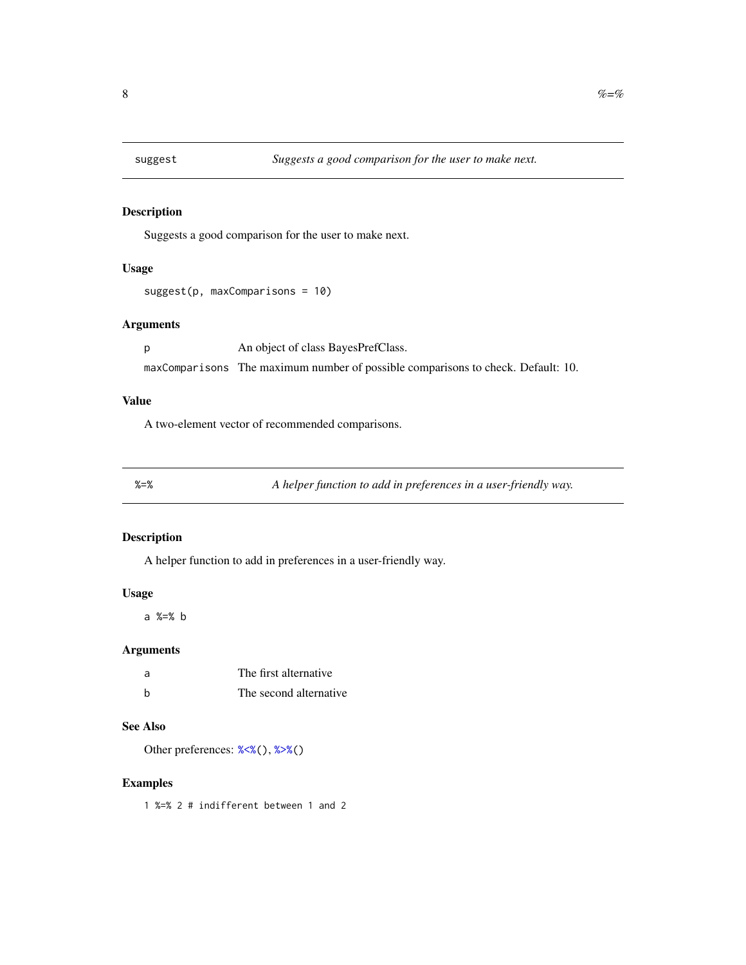<span id="page-7-0"></span>

Suggests a good comparison for the user to make next.

## Usage

```
suggest(p, maxComparisons = 10)
```
#### Arguments

p An object of class BayesPrefClass. maxComparisons The maximum number of possible comparisons to check. Default: 10.

#### Value

A two-element vector of recommended comparisons.

<span id="page-7-1"></span>

%=% *A helper function to add in preferences in a user-friendly way.*

#### Description

A helper function to add in preferences in a user-friendly way.

#### Usage

a %=% b

#### Arguments

| a | The first alternative  |
|---|------------------------|
| h | The second alternative |

## See Also

Other preferences: [%<%\(](#page-8-1)), [%>%\(](#page-8-2))

## Examples

1 %=% 2 # indifferent between 1 and 2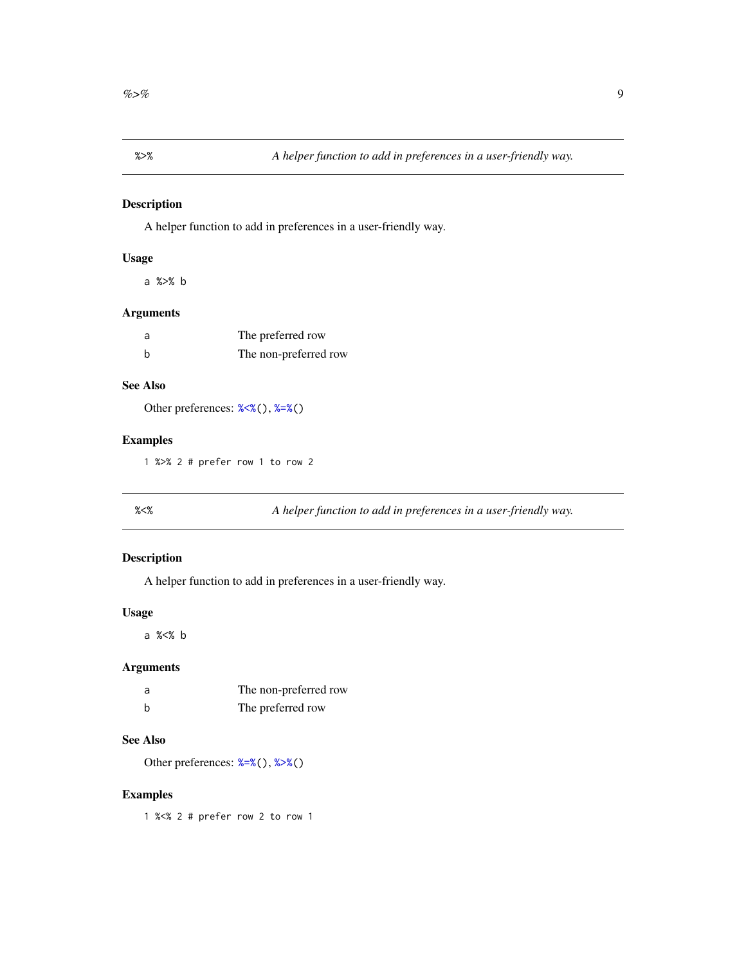<span id="page-8-2"></span><span id="page-8-0"></span>

A helper function to add in preferences in a user-friendly way.

## Usage

a %>% b

## Arguments

| a | The preferred row     |
|---|-----------------------|
| b | The non-preferred row |

## See Also

Other preferences: [%<%\(](#page-8-1)), [%=%\(](#page-7-1))

#### Examples

1 %>% 2 # prefer row 1 to row 2

<span id="page-8-1"></span>%<% *A helper function to add in preferences in a user-friendly way.*

#### Description

A helper function to add in preferences in a user-friendly way.

#### Usage

a %<% b

### Arguments

| a | The non-preferred row |
|---|-----------------------|
| b | The preferred row     |

## See Also

Other preferences: [%=%\(](#page-7-1)), [%>%\(](#page-8-2))

### Examples

1 %<% 2 # prefer row 2 to row 1